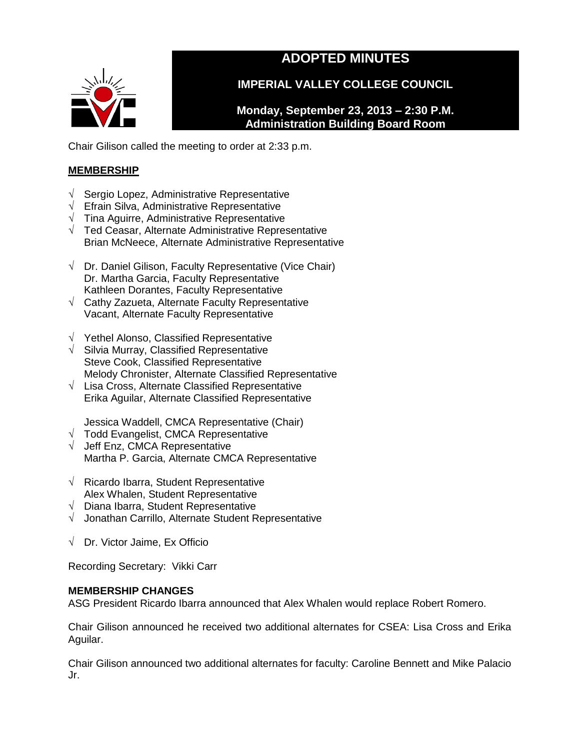# **ADOPTED MINUTES**



**IMPERIAL VALLEY COLLEGE COUNCIL**

**Monday, September 23, 2013 – 2:30 P.M. Administration Building Board Room**

Chair Gilison called the meeting to order at 2:33 p.m.

# **MEMBERSHIP**

- √ Sergio Lopez, Administrative Representative
- √ Efrain Silva, Administrative Representative
- $\sqrt{\phantom{a}}$  Tina Aguirre, Administrative Representative
- √ Ted Ceasar, Alternate Administrative Representative Brian McNeece, Alternate Administrative Representative
- √ Dr. Daniel Gilison, Faculty Representative (Vice Chair) Dr. Martha Garcia, Faculty Representative Kathleen Dorantes, Faculty Representative
- √ Cathy Zazueta, Alternate Faculty Representative Vacant, Alternate Faculty Representative
- √ Yethel Alonso, Classified Representative
- $\sqrt{\phantom{a}}$  Silvia Murray, Classified Representative Steve Cook, Classified Representative Melody Chronister, Alternate Classified Representative
- √ Lisa Cross, Alternate Classified Representative Erika Aguilar, Alternate Classified Representative

Jessica Waddell, CMCA Representative (Chair)

- $\sqrt{\phantom{a}}$  Todd Evangelist, CMCA Representative
- √ Jeff Enz, CMCA Representative Martha P. Garcia, Alternate CMCA Representative
- √ Ricardo Ibarra, Student Representative Alex Whalen, Student Representative
- √ Diana Ibarra, Student Representative
- √ Jonathan Carrillo, Alternate Student Representative
- √ Dr. Victor Jaime, Ex Officio

Recording Secretary: Vikki Carr

# **MEMBERSHIP CHANGES**

ASG President Ricardo Ibarra announced that Alex Whalen would replace Robert Romero.

Chair Gilison announced he received two additional alternates for CSEA: Lisa Cross and Erika Aguilar.

Chair Gilison announced two additional alternates for faculty: Caroline Bennett and Mike Palacio Jr.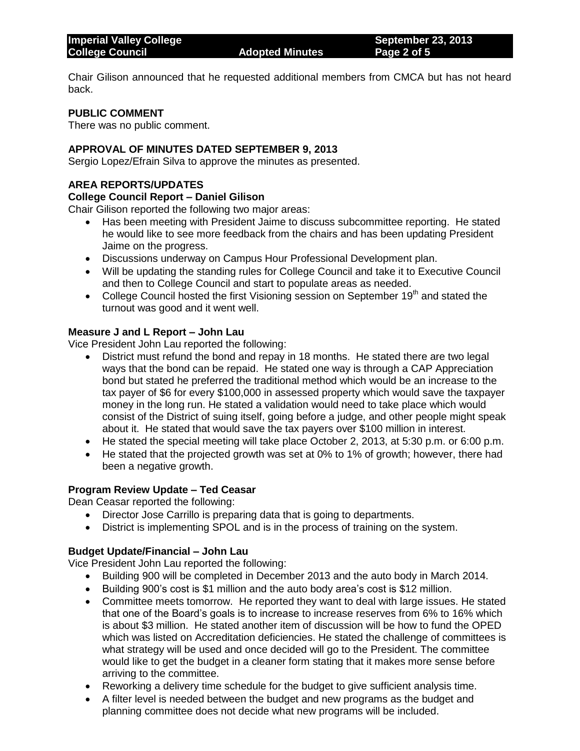Chair Gilison announced that he requested additional members from CMCA but has not heard back.

## **PUBLIC COMMENT**

There was no public comment.

## **APPROVAL OF MINUTES DATED SEPTEMBER 9, 2013**

Sergio Lopez/Efrain Silva to approve the minutes as presented.

## **AREA REPORTS/UPDATES**

#### **College Council Report – Daniel Gilison**

Chair Gilison reported the following two major areas:

- Has been meeting with President Jaime to discuss subcommittee reporting. He stated he would like to see more feedback from the chairs and has been updating President Jaime on the progress.
- Discussions underway on Campus Hour Professional Development plan.
- Will be updating the standing rules for College Council and take it to Executive Council and then to College Council and start to populate areas as needed.
- College Council hosted the first Visioning session on September 19<sup>th</sup> and stated the turnout was good and it went well.

## **Measure J and L Report – John Lau**

Vice President John Lau reported the following:

- District must refund the bond and repay in 18 months. He stated there are two legal ways that the bond can be repaid. He stated one way is through a CAP Appreciation bond but stated he preferred the traditional method which would be an increase to the tax payer of \$6 for every \$100,000 in assessed property which would save the taxpayer money in the long run. He stated a validation would need to take place which would consist of the District of suing itself, going before a judge, and other people might speak about it. He stated that would save the tax payers over \$100 million in interest.
- He stated the special meeting will take place October 2, 2013, at 5:30 p.m. or 6:00 p.m.
- He stated that the projected growth was set at 0% to 1% of growth; however, there had been a negative growth.

## **Program Review Update – Ted Ceasar**

Dean Ceasar reported the following:

- Director Jose Carrillo is preparing data that is going to departments.
- District is implementing SPOL and is in the process of training on the system.

## **Budget Update/Financial – John Lau**

Vice President John Lau reported the following:

- Building 900 will be completed in December 2013 and the auto body in March 2014.
- Building 900's cost is \$1 million and the auto body area's cost is \$12 million.
- Committee meets tomorrow. He reported they want to deal with large issues. He stated that one of the Board's goals is to increase to increase reserves from 6% to 16% which is about \$3 million. He stated another item of discussion will be how to fund the OPED which was listed on Accreditation deficiencies. He stated the challenge of committees is what strategy will be used and once decided will go to the President. The committee would like to get the budget in a cleaner form stating that it makes more sense before arriving to the committee.
- Reworking a delivery time schedule for the budget to give sufficient analysis time.
- A filter level is needed between the budget and new programs as the budget and planning committee does not decide what new programs will be included.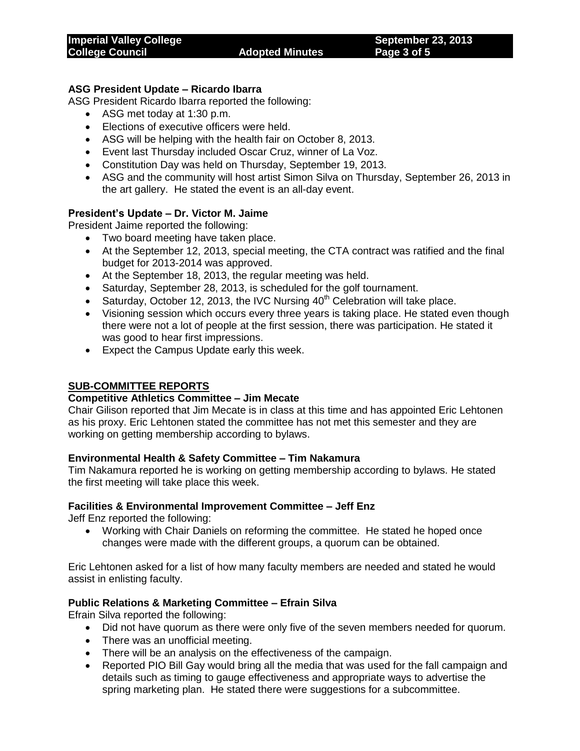# **ASG President Update – Ricardo Ibarra**

ASG President Ricardo Ibarra reported the following:

- ASG met today at 1:30 p.m.
- Elections of executive officers were held.
- ASG will be helping with the health fair on October 8, 2013.
- Event last Thursday included Oscar Cruz, winner of La Voz.
- Constitution Day was held on Thursday, September 19, 2013.
- ASG and the community will host artist Simon Silva on Thursday, September 26, 2013 in the art gallery. He stated the event is an all-day event.

## **President's Update – Dr. Victor M. Jaime**

President Jaime reported the following:

- Two board meeting have taken place.
- At the September 12, 2013, special meeting, the CTA contract was ratified and the final budget for 2013-2014 was approved.
- At the September 18, 2013, the regular meeting was held.
- Saturday, September 28, 2013, is scheduled for the golf tournament.
- Saturday, October 12, 2013, the IVC Nursing  $40<sup>th</sup>$  Celebration will take place.
- Visioning session which occurs every three years is taking place. He stated even though there were not a lot of people at the first session, there was participation. He stated it was good to hear first impressions.
- Expect the Campus Update early this week.

## **SUB-COMMITTEE REPORTS**

## **Competitive Athletics Committee – Jim Mecate**

Chair Gilison reported that Jim Mecate is in class at this time and has appointed Eric Lehtonen as his proxy. Eric Lehtonen stated the committee has not met this semester and they are working on getting membership according to bylaws.

## **Environmental Health & Safety Committee – Tim Nakamura**

Tim Nakamura reported he is working on getting membership according to bylaws. He stated the first meeting will take place this week.

## **Facilities & Environmental Improvement Committee – Jeff Enz**

Jeff Enz reported the following:

 Working with Chair Daniels on reforming the committee. He stated he hoped once changes were made with the different groups, a quorum can be obtained.

Eric Lehtonen asked for a list of how many faculty members are needed and stated he would assist in enlisting faculty.

## **Public Relations & Marketing Committee – Efrain Silva**

Efrain Silva reported the following:

- Did not have quorum as there were only five of the seven members needed for quorum.
- There was an unofficial meeting.
- There will be an analysis on the effectiveness of the campaign.
- Reported PIO Bill Gay would bring all the media that was used for the fall campaign and details such as timing to gauge effectiveness and appropriate ways to advertise the spring marketing plan. He stated there were suggestions for a subcommittee.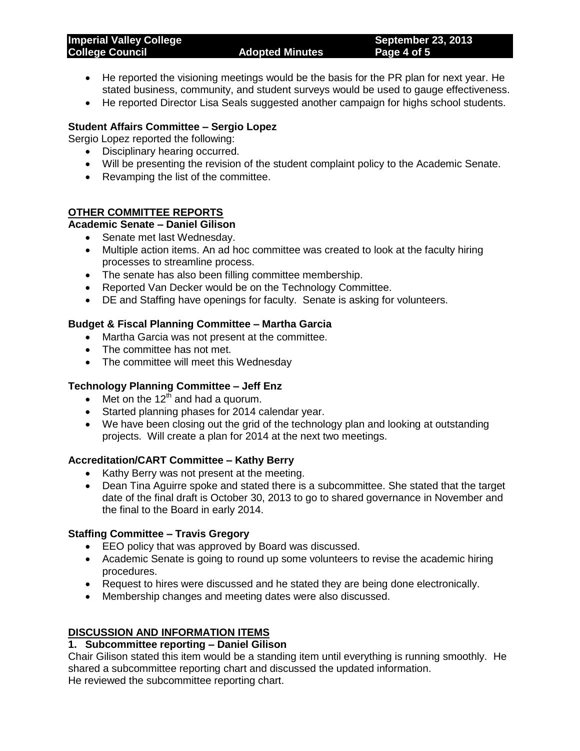| <b>Imperial Valley College</b><br><b>College Council</b> | <b>Adopted Minutes</b> | <b>September 23, 2013</b><br>Page 4 of 5 |
|----------------------------------------------------------|------------------------|------------------------------------------|
|                                                          |                        |                                          |

- He reported the visioning meetings would be the basis for the PR plan for next year. He stated business, community, and student surveys would be used to gauge effectiveness.
- He reported Director Lisa Seals suggested another campaign for highs school students.

## **Student Affairs Committee – Sergio Lopez**

Sergio Lopez reported the following:

- Disciplinary hearing occurred.
- Will be presenting the revision of the student complaint policy to the Academic Senate.
- Revamping the list of the committee.

## **OTHER COMMITTEE REPORTS**

# **Academic Senate – Daniel Gilison**

- Senate met last Wednesday.
- Multiple action items. An ad hoc committee was created to look at the faculty hiring processes to streamline process.
- The senate has also been filling committee membership.
- Reported Van Decker would be on the Technology Committee.
- DE and Staffing have openings for faculty. Senate is asking for volunteers.

# **Budget & Fiscal Planning Committee – Martha Garcia**

- Martha Garcia was not present at the committee.
- The committee has not met.
- The committee will meet this Wednesday

# **Technology Planning Committee – Jeff Enz**

- $\bullet$  Met on the 12<sup>th</sup> and had a quorum.
- Started planning phases for 2014 calendar year.
- We have been closing out the grid of the technology plan and looking at outstanding projects. Will create a plan for 2014 at the next two meetings.

## **Accreditation/CART Committee – Kathy Berry**

- Kathy Berry was not present at the meeting.
- Dean Tina Aguirre spoke and stated there is a subcommittee. She stated that the target date of the final draft is October 30, 2013 to go to shared governance in November and the final to the Board in early 2014.

## **Staffing Committee – Travis Gregory**

- EEO policy that was approved by Board was discussed.
- Academic Senate is going to round up some volunteers to revise the academic hiring procedures.
- Request to hires were discussed and he stated they are being done electronically.
- Membership changes and meeting dates were also discussed.

# **DISCUSSION AND INFORMATION ITEMS**

## **1. Subcommittee reporting – Daniel Gilison**

Chair Gilison stated this item would be a standing item until everything is running smoothly. He shared a subcommittee reporting chart and discussed the updated information. He reviewed the subcommittee reporting chart.